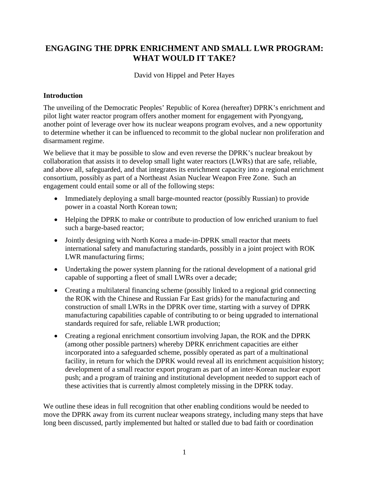# **ENGAGING THE DPRK ENRICHMENT AND SMALL LWR PROGRAM: WHAT WOULD IT TAKE?**

David von Hippel and Peter Hayes

### **Introduction**

The unveiling of the Democratic Peoples' Republic of Korea (hereafter) DPRK's enrichment and pilot light water reactor program offers another moment for engagement with Pyongyang, another point of leverage over how its nuclear weapons program evolves, and a new opportunity to determine whether it can be influenced to recommit to the global nuclear non proliferation and disarmament regime.

We believe that it may be possible to slow and even reverse the DPRK's nuclear breakout by collaboration that assists it to develop small light water reactors (LWRs) that are safe, reliable, and above all, safeguarded, and that integrates its enrichment capacity into a regional enrichment consortium, possibly as part of a Northeast Asian Nuclear Weapon Free Zone. Such an engagement could entail some or all of the following steps:

- Immediately deploying a small barge-mounted reactor (possibly Russian) to provide power in a coastal North Korean town;
- Helping the DPRK to make or contribute to production of low enriched uranium to fuel such a barge-based reactor;
- Jointly designing with North Korea a made-in-DPRK small reactor that meets international safety and manufacturing standards, possibly in a joint project with ROK LWR manufacturing firms;
- Undertaking the power system planning for the rational development of a national grid capable of supporting a fleet of small LWRs over a decade;
- Creating a multilateral financing scheme (possibly linked to a regional grid connecting the ROK with the Chinese and Russian Far East grids) for the manufacturing and construction of small LWRs in the DPRK over time, starting with a survey of DPRK manufacturing capabilities capable of contributing to or being upgraded to international standards required for safe, reliable LWR production;
- Creating a regional enrichment consortium involving Japan, the ROK and the DPRK (among other possible partners) whereby DPRK enrichment capacities are either incorporated into a safeguarded scheme, possibly operated as part of a multinational facility, in return for which the DPRK would reveal all its enrichment acquisition history; development of a small reactor export program as part of an inter-Korean nuclear export push; and a program of training and institutional development needed to support each of these activities that is currently almost completely missing in the DPRK today.

We outline these ideas in full recognition that other enabling conditions would be needed to move the DPRK away from its current nuclear weapons strategy, including many steps that have long been discussed, partly implemented but halted or stalled due to bad faith or coordination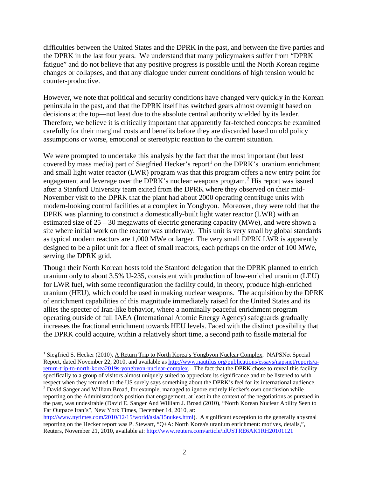difficulties between the United States and the DPRK in the past, and between the five parties and the DPRK in the last four years. We understand that many policymakers suffer from "DPRK fatigue" and do not believe that any positive progress is possible until the North Korean regime changes or collapses, and that any dialogue under current conditions of high tension would be counter-productive.

However, we note that political and security conditions have changed very quickly in the Korean peninsula in the past, and that the DPRK itself has switched gears almost overnight based on decisions at the top—not least due to the absolute central authority wielded by its leader. Therefore, we believe it is critically important that apparently far-fetched concepts be examined carefully for their marginal costs and benefits before they are discarded based on old policy assumptions or worse, emotional or stereotypic reaction to the current situation.

We were prompted to undertake this analysis by the fact that the most important (but least covered by mass media) part of Siegfried Hecker's report<sup>[1](#page-1-0)</sup> on the DPRK's uranium enrichment and small light water reactor (LWR) program was that this program offers a new entry point for engagement and leverage over the DPRK's nuclear weapons program.<sup>[2](#page-1-1)</sup> His report was issued after a Stanford University team exited from the DPRK where they observed on their mid-November visit to the DPRK that the plant had about 2000 operating centrifuge units with modern-looking control facilities at a complex in Yongbyon. Moreover, they were told that the DPRK was planning to construct a domestically-built light water reactor (LWR) with an estimated size of 25 – 30 megawatts of electric generating capacity (MWe), and were shown a site where initial work on the reactor was underway. This unit is very small by global standards as typical modern reactors are 1,000 MWe or larger. The very small DPRK LWR is apparently designed to be a pilot unit for a fleet of small reactors, each perhaps on the order of 100 MWe, serving the DPRK grid.

Though their North Korean hosts told the Stanford delegation that the DPRK planned to enrich uranium only to about 3.5% U-235, consistent with production of low-enriched uranium (LEU) for LWR fuel, with some reconfiguration the facility could, in theory, produce high-enriched uranium (HEU), which could be used in making nuclear weapons. The acquisition by the DPRK of enrichment capabilities of this magnitude immediately raised for the United States and its allies the specter of Iran-like behavior, where a nominally peaceful enrichment program operating outside of full IAEA (International Atomic Energy Agency) safeguards gradually increases the fractional enrichment towards HEU levels. Faced with the distinct possibility that the DPRK could acquire, within a relatively short time, a second path to fissile material for

 $\overline{a}$ 

<span id="page-1-1"></span>[http://www.nytimes.com/2010/12/15/world/asia/15nukes.html\)](http://www.nytimes.com/2010/12/15/world/asia/15nukes.html). A significant exception to the generally abysmal reporting on the Hecker report was P. Stewart, "Q+A: North Korea's uranium enrichment: motives, details,", Reuters, November 21, 2010, available at:<http://www.reuters.com/article/idUSTRE6AK1RH20101121>

<span id="page-1-0"></span><sup>&</sup>lt;sup>1</sup> Siegfried S. Hecker (2010), A Return Trip to North Korea's Yongbyon Nuclear Complex. NAPSNet Special Report, dated November 22, 2010, and available as [http://www.nautilus.org/publications/essays/napsnet/reports/a](http://www.nautilus.org/publications/essays/napsnet/reports/a-return-trip-to-north-korea2019s-yongbyon-nuclear-complex)[return-trip-to-north-korea2019s-yongbyon-nuclear-complex.](http://www.nautilus.org/publications/essays/napsnet/reports/a-return-trip-to-north-korea2019s-yongbyon-nuclear-complex) The fact that the DPRK chose to reveal this facility specifically to a group of visitors almost uniquely suited to appreciate its significance and to be listened to with respect when they returned to the US surely says something about the DPRK's feel for its international audience. <sup>2</sup> David Sanger and William Broad, for example, managed to ignore entirely Hecker's own conclusion while reporting on the Administration's position that engagement, at least in the context of the negotiations as pursued in the past, was undesirable (David E. Sanger And William J. Broad (2010), "North Korean Nuclear Ability Seen to Far Outpace Iran's", New York Times, December 14, 2010, at: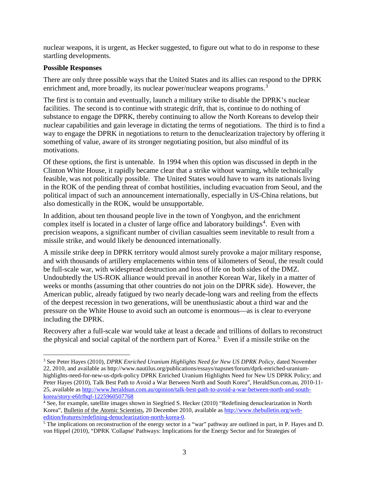nuclear weapons, it is urgent, as Hecker suggested, to figure out what to do in response to these startling developments.

#### **Possible Responses**

There are only three possible ways that the United States and its allies can respond to the DPRK enrichment and, more broadly, its nuclear power/nuclear weapons programs.<sup>[3](#page-2-0)</sup>

The first is to contain and eventually, launch a military strike to disable the DPRK's nuclear facilities. The second is to continue with strategic drift, that is, continue to do nothing of substance to engage the DPRK, thereby continuing to allow the North Koreans to develop their nuclear capabilities and gain leverage in dictating the terms of negotiations. The third is to find a way to engage the DPRK in negotiations to return to the denuclearization trajectory by offering it something of value, aware of its stronger negotiating position, but also mindful of its motivations.

Of these options, the first is untenable. In 1994 when this option was discussed in depth in the Clinton White House, it rapidly became clear that a strike without warning, while technically feasible, was not politically possible. The United States would have to warn its nationals living in the ROK of the pending threat of combat hostilities, including evacuation from Seoul, and the political impact of such an announcement internationally, especially in US-China relations, but also domestically in the ROK, would be unsupportable.

In addition, about ten thousand people live in the town of Yongbyon, and the enrichment complex itself is located in a cluster of large office and laboratory buildings<sup>[4](#page-2-1)</sup>. Even with precision weapons, a significant number of civilian casualties seem inevitable to result from a missile strike, and would likely be denounced internationally.

A missile strike deep in DPRK territory would almost surely provoke a major military response, and with thousands of artillery emplacements within tens of kilometers of Seoul, the result could be full-scale war, with widespread destruction and loss of life on both sides of the DMZ. Undoubtedly the US-ROK alliance would prevail in another Korean War, likely in a matter of weeks or months (assuming that other countries do not join on the DPRK side). However, the American public, already fatigued by two nearly decade-long wars and reeling from the effects of the deepest recession in two generations, will be unenthusiastic about a third war and the pressure on the White House to avoid such an outcome is enormous—as is clear to everyone including the DPRK.

Recovery after a full-scale war would take at least a decade and trillions of dollars to reconstruct the physical and social capital of the northern part of Korea.<sup>[5](#page-2-2)</sup> Even if a missile strike on the

<span id="page-2-0"></span><sup>3</sup> See Peter Hayes (2010), *DPRK Enriched Uranium Highlights Need for New US DPRK Policy*, dated November 22, 2010, and available as http://www.nautilus.org/publications/essays/napsnet/forum/dprk-enriched-uraniumhighlights-need-for-new-us-dprk-policy DPRK Enriched Uranium Highlights Need for New US DPRK Policy; and Peter Hayes (2010), Talk Best Path to Avoid a War Between North and South Korea", HeraldSun.com.au, 2010-11- 25, available as [http://www.heraldsun.com.au/opinion/talk-best-path-to-avoid-a-war-between-north-and-south](http://www.heraldsun.com.au/opinion/talk-best-path-to-avoid-a-war-between-north-and-south-korea/story-e6frfhqf-1225960507768)[korea/story-e6frfhqf-1225960507768](http://www.heraldsun.com.au/opinion/talk-best-path-to-avoid-a-war-between-north-and-south-korea/story-e6frfhqf-1225960507768)  $\overline{a}$ 

<span id="page-2-1"></span><sup>4</sup> See, for example, satellite images shown in Siegfried S. Hecker (2010) "Redefining denuclearization in North Korea", Bulletin of the Atomic Scientists, 20 December 2010, available as http://www.thebulletin.org/web-edition/features/redefining-denuclearization-north-korea-0.

<span id="page-2-2"></span><sup>&</sup>lt;sup>5</sup> The implications on reconstruction of the energy sector in a "war" pathway are outlined in part, in P. Hayes and D. von Hippel (2010), "DPRK 'Collapse' Pathways: Implications for the Energy Sector and for Strategies of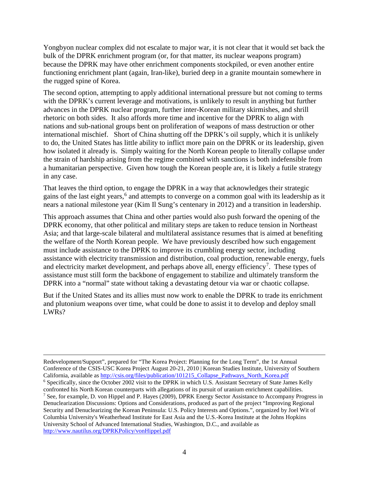Yongbyon nuclear complex did not escalate to major war, it is not clear that it would set back the bulk of the DPRK enrichment program (or, for that matter, its nuclear weapons program) because the DPRK may have other enrichment components stockpiled, or even another entire functioning enrichment plant (again, Iran-like), buried deep in a granite mountain somewhere in the rugged spine of Korea.

The second option, attempting to apply additional international pressure but not coming to terms with the DPRK's current leverage and motivations, is unlikely to result in anything but further advances in the DPRK nuclear program, further inter-Korean military skirmishes, and shrill rhetoric on both sides. It also affords more time and incentive for the DPRK to align with nations and sub-national groups bent on proliferation of weapons of mass destruction or other international mischief. Short of China shutting off the DPRK's oil supply, which it is unlikely to do, the United States has little ability to inflict more pain on the DPRK or its leadership, given how isolated it already is. Simply waiting for the North Korean people to literally collapse under the strain of hardship arising from the regime combined with sanctions is both indefensible from a humanitarian perspective. Given how tough the Korean people are, it is likely a futile strategy in any case.

That leaves the third option, to engage the DPRK in a way that acknowledges their strategic gains of the last eight years, [6](#page-3-0) and attempts to converge on a common goal with its leadership as it nears a national milestone year (Kim Il Sung's centenary in 2012) and a transition in leadership.

This approach assumes that China and other parties would also push forward the opening of the DPRK economy, that other political and military steps are taken to reduce tension in Northeast Asia; and that large-scale bilateral and multilateral assistance resumes that is aimed at benefiting the welfare of the North Korean people. We have previously described how such engagement must include assistance to the DPRK to improve its crumbling energy sector, including assistance with electricity transmission and distribution, coal production, renewable energy, fuels and electricity market development, and perhaps above all, energy efficiency<sup>[7](#page-3-1)</sup>. These types of assistance must still form the backbone of engagement to stabilize and ultimately transform the DPRK into a "normal" state without taking a devastating detour via war or chaotic collapse.

But if the United States and its allies must now work to enable the DPRK to trade its enrichment and plutonium weapons over time, what could be done to assist it to develop and deploy small LWRs?

<span id="page-3-1"></span><span id="page-3-0"></span>Redevelopment/Support", prepared for "The Korea Project: Planning for the Long Term", the 1st Annual Conference of the CSIS-USC Korea Project August 20-21, 2010 | Korean Studies Institute, University of Southern California, available as [http://csis.org/files/publication/101215\\_Collapse\\_Pathways\\_North\\_Korea.pdf](http://csis.org/files/publication/101215_Collapse_Pathways_North_Korea.pdf) <sup>6</sup> Specifically, since the October 2002 visit to the DPRK in which U.S. Assistant Secretary of State James Kelly confronted his North Korean counterparts with allegations of its pursuit of uranium enrichment capabilities. <sup>7</sup> See, for example, D. von Hippel and P. Hayes (2009), DPRK Energy Sector Assistance to Accompany Progress in Denuclearization Discussions: Options and Considerations, produced as part of the project "Improving Regional Security and Denuclearizing the Korean Peninsula: U.S. Policy Interests and Options.", organized by Joel Wit of Columbia University's Weatherhead Institute for East Asia and the U.S.-Korea Institute at the Johns Hopkins University School of Advanced International Studies, Washington, D.C., and available as <http://www.nautilus.org/DPRKPolicy/vonHippel.pdf>

 $\overline{a}$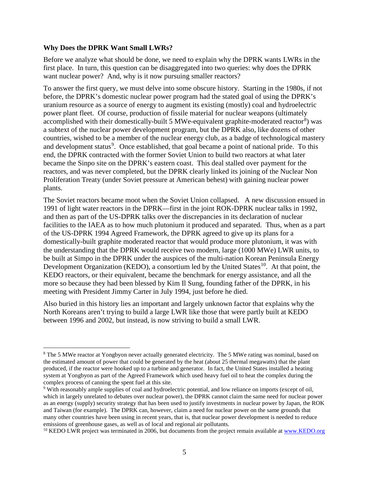#### **Why Does the DPRK Want Small LWRs?**

 $\overline{a}$ 

Before we analyze what should be done, we need to explain why the DPRK wants LWRs in the first place. In turn, this question can be disaggregated into two queries: why does the DPRK want nuclear power? And, why is it now pursuing smaller reactors?

To answer the first query, we must delve into some obscure history. Starting in the 1980s, if not before, the DPRK's domestic nuclear power program had the stated goal of using the DPRK's uranium resource as a source of energy to augment its existing (mostly) coal and hydroelectric power plant fleet. Of course, production of fissile material for nuclear weapons (ultimately accomplished with their domestically-built 5 MWe-equivalent graphite-moderated reactor<sup>[8](#page-4-0)</sup>) was a subtext of the nuclear power development program, but the DPRK also, like dozens of other countries, wished to be a member of the nuclear energy club, as a badge of technological mastery and development status<sup>[9](#page-4-1)</sup>. Once established, that goal became a point of national pride. To this end, the DPRK contracted with the former Soviet Union to build two reactors at what later became the Sinpo site on the DPRK's eastern coast. This deal stalled over payment for the reactors, and was never completed, but the DPRK clearly linked its joining of the Nuclear Non Proliferation Treaty (under Soviet pressure at American behest) with gaining nuclear power plants.

The Soviet reactors became moot when the Soviet Union collapsed. A new discussion ensued in 1991 of light water reactors in the DPRK—first in the joint ROK-DPRK nuclear talks in 1992, and then as part of the US-DPRK talks over the discrepancies in its declaration of nuclear facilities to the IAEA as to how much plutonium it produced and separated. Thus, when as a part of the US-DPRK 1994 Agreed Framework, the DPRK agreed to give up its plans for a domestically-built graphite moderated reactor that would produce more plutonium, it was with the understanding that the DPRK would receive two modern, large (1000 MWe) LWR units, to be built at Simpo in the DPRK under the auspices of the multi-nation Korean Peninsula Energy Development Organization (KEDO), a consortium led by the United States<sup>[10](#page-4-2)</sup>. At that point, the KEDO reactors, or their equivalent, became the benchmark for energy assistance, and all the more so because they had been blessed by Kim Il Sung, founding father of the DPRK, in his meeting with President Jimmy Carter in July 1994, just before he died.

Also buried in this history lies an important and largely unknown factor that explains why the North Koreans aren't trying to build a large LWR like those that were partly built at KEDO between 1996 and 2002, but instead, is now striving to build a small LWR.

<span id="page-4-0"></span><sup>&</sup>lt;sup>8</sup> The 5 MWe reactor at Yongbyon never actually generated electricity. The 5 MWe rating was nominal, based on the estimated amount of power that could be generated by the heat (about 25 thermal megawatts) that the plant produced, if the reactor were hooked up to a turbine and generator. In fact, the United States installed a heating system at Yongbyon as part of the Agreed Framework which used heavy fuel oil to heat the complex during the complex process of canning the spent fuel at this site.

<span id="page-4-1"></span><sup>9</sup> With reasonably ample supplies of coal and hydroelectric potential, and low reliance on imports (except of oil, which in largely unrelated to debates over nuclear power), the DPRK cannot claim the same need for nuclear power as an energy (supply) security strategy that has been used to justify investments in nuclear power by Japan, the ROK and Taiwan (for example). The DPRK can, however, claim a need for nuclear power on the same grounds that many other countries have been using in recent years, that is, that nuclear power development is needed to reduce emissions of greenhouse gases, as well as of local and regional air pollutants.

<span id="page-4-2"></span><sup>&</sup>lt;sup>10</sup> KEDO LWR project was terminated in 2006, but documents from the project remain available at [www.KEDO.org](http://www.kedo.org/)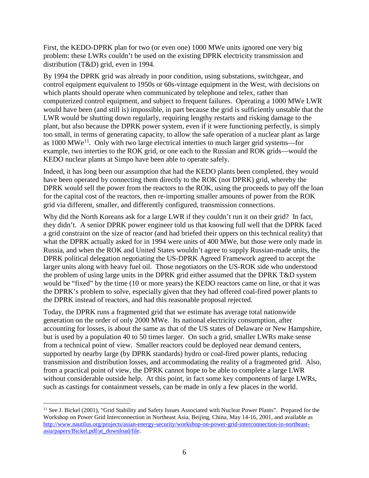First, the KEDO-DPRK plan for two (or even one) 1000 MWe units ignored one very big problem: these LWRs couldn't be used on the existing DPRK electricity transmission and distribution (T&D) grid, even in 1994.

By 1994 the DPRK grid was already in poor condition, using substations, switchgear, and control equipment equivalent to 1950s or 60s-vintage equipment in the West, with decisions on which plants should operate when communicated by telephone and telex, rather than computerized control equipment, and subject to frequent failures. Operating a 1000 MWe LWR would have been (and still is) impossible, in part because the grid is sufficiently unstable that the LWR would be shutting down regularly, requiring lengthy restarts and risking damage to the plant, but also because the DPRK power system, even if it were functioning perfectly, is simply too small, in terms of generating capacity, to allow the safe operation of a nuclear plant as large as  $1000 \text{ MWe}^{11}$ . Only with two large electrical interties to much larger grid systems—for example, two interties to the ROK grid, or one each to the Russian and ROK grids—would the KEDO nuclear plants at Simpo have been able to operate safely.

Indeed, it has long been our assumption that had the KEDO plants been completed, they would have been operated by connecting them directly to the ROK (not DPRK) grid, whereby the DPRK would sell the power from the reactors to the ROK, using the proceeds to pay off the loan for the capital cost of the reactors, then re-importing smaller amounts of power from the ROK grid via different, smaller, and differently configured, transmission connections.

Why did the North Koreans ask for a large LWR if they couldn't run it on their grid? In fact, they didn't. A senior DPRK power engineer told us that knowing full well that the DPRK faced a grid constraint on the size of reactor (and had briefed their uppers on this technical reality) that what the DPRK actually asked for in 1994 were units of 400 MWe, but those were only made in Russia, and when the ROK and United States wouldn't agree to supply Russian-made units, the DPRK political delegation negotiating the US-DPRK Agreed Framework agreed to accept the larger units along with heavy fuel oil. Those negotiators on the US-ROK side who understood the problem of using large units in the DPRK grid either assumed that the DPRK T&D system would be "fixed" by the time (10 or more years) the KEDO reactors came on line, or that it was the DPRK's problem to solve, especially given that they had offered coal-fired power plants to the DPRK instead of reactors, and had this reasonable proposal rejected.

Today, the DPRK runs a fragmented grid that we estimate has average total nationwide generation on the order of only 2000 MWe. Its national electricity consumption, after accounting for losses, is about the same as that of the US states of Delaware or New Hampshire, but is used by a population 40 to 50 times larger. On such a grid, smaller LWRs make sense from a technical point of view. Smaller reactors could be deployed near demand centers, supported by nearby large (by DPRK standards) hydro or coal-fired power plants, reducing transmission and distribution losses, and accommodating the reality of a fragmented grid. Also, from a practical point of view, the DPRK cannot hope to be able to complete a large LWR without considerable outside help. At this point, in fact some key components of large LWRs, such as castings for containment vessels, can be made in only a few places in the world.

 $\overline{a}$ 

<span id="page-5-0"></span><sup>&</sup>lt;sup>11</sup> See J. Bickel (2001), "Grid Stability and Safety Issues Associated with Nuclear Power Plants". Prepared for the Workshop on Power Grid Interconnection in Northeast Asia, Beijing, China, May 14-16, 2001, and available as [http://www.nautilus.org/projects/asian-energy-security/workshop-on-power-grid-interconnection-in-northeast](http://www.nautilus.org/projects/asian-energy-security/workshop-on-power-grid-interconnection-in-northeast-asia/papers/Bickel.pdf/at_download/file)[asia/papers/Bickel.pdf/at\\_download/file.](http://www.nautilus.org/projects/asian-energy-security/workshop-on-power-grid-interconnection-in-northeast-asia/papers/Bickel.pdf/at_download/file)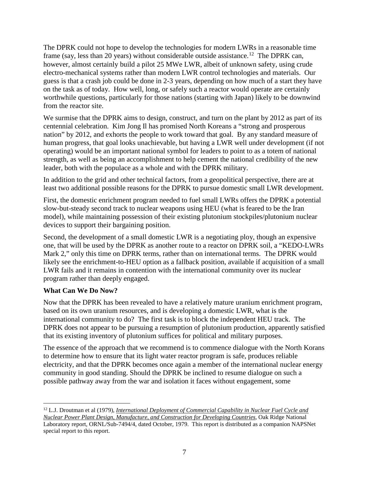The DPRK could not hope to develop the technologies for modern LWRs in a reasonable time frame (say, less than 20 years) without considerable outside assistance.<sup>12</sup> The DPRK can, however, almost certainly build a pilot 25 MWe LWR, albeit of unknown safety, using crude electro-mechanical systems rather than modern LWR control technologies and materials. Our guess is that a crash job could be done in 2-3 years, depending on how much of a start they have on the task as of today. How well, long, or safely such a reactor would operate are certainly worthwhile questions, particularly for those nations (starting with Japan) likely to be downwind from the reactor site.

We surmise that the DPRK aims to design, construct, and turn on the plant by 2012 as part of its centennial celebration. Kim Jong Il has promised North Koreans a "strong and prosperous nation" by 2012, and exhorts the people to work toward that goal. By any standard measure of human progress, that goal looks unachievable, but having a LWR well under development (if not operating) would be an important national symbol for leaders to point to as a totem of national strength, as well as being an accomplishment to help cement the national credibility of the new leader, both with the populace as a whole and with the DPRK military.

In addition to the grid and other technical factors, from a geopolitical perspective, there are at least two additional possible reasons for the DPRK to pursue domestic small LWR development.

First, the domestic enrichment program needed to fuel small LWRs offers the DPRK a potential slow-but-steady second track to nuclear weapons using HEU (what is feared to be the Iran model), while maintaining possession of their existing plutonium stockpiles/plutonium nuclear devices to support their bargaining position.

Second, the development of a small domestic LWR is a negotiating ploy, though an expensive one, that will be used by the DPRK as another route to a reactor on DPRK soil, a "KEDO-LWRs Mark 2," only this time on DPRK terms, rather than on international terms. The DPRK would likely see the enrichment-to-HEU option as a fallback position, available if acquisition of a small LWR fails and it remains in contention with the international community over its nuclear program rather than deeply engaged.

#### **What Can We Do Now?**

 $\overline{a}$ 

Now that the DPRK has been revealed to have a relatively mature uranium enrichment program, based on its own uranium resources, and is developing a domestic LWR, what is the international community to do? The first task is to block the independent HEU track. The DPRK does not appear to be pursuing a resumption of plutonium production, apparently satisfied that its existing inventory of plutonium suffices for political and military purposes.

The essence of the approach that we recommend is to commence dialogue with the North Korans to determine how to ensure that its light water reactor program is safe, produces reliable electricity, and that the DPRK becomes once again a member of the international nuclear energy community in good standing. Should the DPRK be inclined to resume dialogue on such a possible pathway away from the war and isolation it faces without engagement, some

<span id="page-6-0"></span><sup>&</sup>lt;sup>12</sup> L.J. Droutman et al (1979), *International Deployment of Commercial Capability in Nuclear Fuel Cycle and Nuclear Power Plant Design, Manufacture, and Construction for Developing Countries*, Oak Ridge National Laboratory report, ORNL/Sub-7494/4, dated October, 1979. This report is distributed as a companion NAPSNet special report to this report.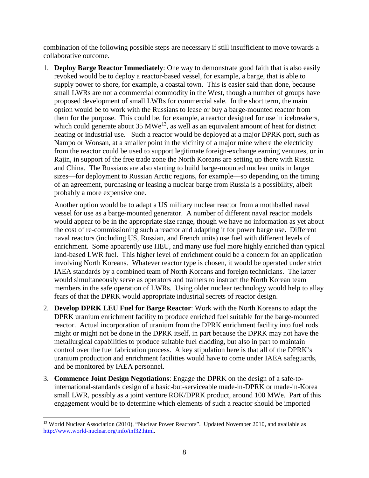combination of the following possible steps are necessary if still insufficient to move towards a collaborative outcome.

1. **Deploy Barge Reactor Immediately**: One way to demonstrate good faith that is also easily revoked would be to deploy a reactor-based vessel, for example, a barge, that is able to supply power to shore, for example, a coastal town. This is easier said than done, because small LWRs are not a commercial commodity in the West, though a number of groups have proposed development of small LWRs for commercial sale. In the short term, the main option would be to work with the Russians to lease or buy a barge-mounted reactor from them for the purpose. This could be, for example, a reactor designed for use in icebreakers, which could generate about 35 MWe<sup>[13](#page-7-0)</sup>, as well as an equivalent amount of heat for district heating or industrial use. Such a reactor would be deployed at a major DPRK port, such as Nampo or Wonsan, at a smaller point in the vicinity of a major mine where the electricity from the reactor could be used to support legitimate foreign-exchange earning ventures, or in Rajin, in support of the free trade zone the North Koreans are setting up there with Russia and China. The Russians are also starting to build barge-mounted nuclear units in larger sizes—for deployment to Russian Arctic regions, for example—so depending on the timing of an agreement, purchasing or leasing a nuclear barge from Russia is a possibility, albeit probably a more expensive one.

Another option would be to adapt a US military nuclear reactor from a mothballed naval vessel for use as a barge-mounted generator. A number of different naval reactor models would appear to be in the appropriate size range, though we have no information as yet about the cost of re-commissioning such a reactor and adapting it for power barge use. Different naval reactors (including US, Russian, and French units) use fuel with different levels of enrichment. Some apparently use HEU, and many use fuel more highly enriched than typical land-based LWR fuel. This higher level of enrichment could be a concern for an application involving North Koreans. Whatever reactor type is chosen, it would be operated under strict IAEA standards by a combined team of North Koreans and foreign technicians. The latter would simultaneously serve as operators and trainers to instruct the North Korean team members in the safe operation of LWRs. Using older nuclear technology would help to allay fears of that the DPRK would appropriate industrial secrets of reactor design.

- 2. **Develop DPRK LEU Fuel for Barge Reactor**: Work with the North Koreans to adapt the DPRK uranium enrichment facility to produce enriched fuel suitable for the barge-mounted reactor. Actual incorporation of uranium from the DPRK enrichment facility into fuel rods might or might not be done in the DPRK itself, in part because the DPRK may not have the metallurgical capabilities to produce suitable fuel cladding, but also in part to maintain control over the fuel fabrication process. A key stipulation here is that all of the DPRK's uranium production and enrichment facilities would have to come under IAEA safeguards, and be monitored by IAEA personnel.
- 3. **Commence Joint Design Negotiations**: Engage the DPRK on the design of a safe-tointernational-standards design of a basic-but-serviceable made-in-DPRK or made-in-Korea small LWR, possibly as a joint venture ROK/DPRK product, around 100 MWe. Part of this engagement would be to determine which elements of such a reactor should be imported

<span id="page-7-0"></span><sup>&</sup>lt;sup>13</sup> World Nuclear Association (2010), "Nuclear Power Reactors". Updated November 2010, and available as [http://www.world-nuclear.org/info/inf32.html.](http://www.world-nuclear.org/info/inf32.html)   $\overline{a}$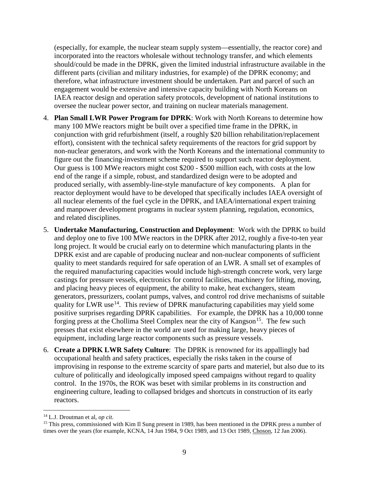(especially, for example, the nuclear steam supply system—essentially, the reactor core) and incorporated into the reactors wholesale without technology transfer, and which elements should/could be made in the DPRK, given the limited industrial infrastructure available in the different parts (civilian and military industries, for example) of the DPRK economy; and therefore, what infrastructure investment should be undertaken. Part and parcel of such an engagement would be extensive and intensive capacity building with North Koreans on IAEA reactor design and operation safety protocols, development of national institutions to oversee the nuclear power sector, and training on nuclear materials management.

- 4. **Plan Small LWR Power Program for DPRK**: Work with North Koreans to determine how many 100 MWe reactors might be built over a specified time frame in the DPRK, in conjunction with grid refurbishment (itself, a roughly \$20 billion rehabilitation/replacement effort), consistent with the technical safety requirements of the reactors for grid support by non-nuclear generators, and work with the North Koreans and the international community to figure out the financing-investment scheme required to support such reactor deployment. Our guess is 100 MWe reactors might cost \$200 - \$500 million each, with costs at the low end of the range if a simple, robust, and standardized design were to be adopted and produced serially, with assembly-line-style manufacture of key components. A plan for reactor deployment would have to be developed that specifically includes IAEA oversight of all nuclear elements of the fuel cycle in the DPRK, and IAEA/international expert training and manpower development programs in nuclear system planning, regulation, economics, and related disciplines.
- 5. **Undertake Manufacturing, Construction and Deployment**: Work with the DPRK to build and deploy one to five 100 MWe reactors in the DPRK after 2012, roughly a five-to-ten year long project. It would be crucial early on to determine which manufacturing plants in the DPRK exist and are capable of producing nuclear and non-nuclear components of sufficient quality to meet standards required for safe operation of an LWR. A small set of examples of the required manufacturing capacities would include high-strength concrete work, very large castings for pressure vessels, electronics for control facilities, machinery for lifting, moving, and placing heavy pieces of equipment, the ability to make, heat exchangers, steam generators, pressurizers, coolant pumps, valves, and control rod drive mechanisms of suitable quality for LWR use<sup>14</sup>. This review of DPRK manufacturing capabilities may yield some positive surprises regarding DPRK capabilities. For example, the DPRK has a 10,000 tonne forging press at the Chollima Steel Complex near the city of Kangson<sup>15</sup>. The few such presses that exist elsewhere in the world are used for making large, heavy pieces of equipment, including large reactor components such as pressure vessels.
- 6. **Create a DPRK LWR Safety Culture**: The DPRK is renowned for its appallingly bad occupational health and safety practices, especially the risks taken in the course of improvising in response to the extreme scarcity of spare parts and materiel, but also due to its culture of politically and ideologically imposed speed campaigns without regard to quality control. In the 1970s, the ROK was beset with similar problems in its construction and engineering culture, leading to collapsed bridges and shortcuts in construction of its early reactors.

 $\overline{a}$ 

<span id="page-8-1"></span><span id="page-8-0"></span><sup>&</sup>lt;sup>14</sup> L.J. Droutman et al, *op cit*.<br><sup>15</sup> This press, commissioned with Kim Il Sung present in 1989, has been mentioned in the DPRK press a number of times over the years (for example, KCNA, 14 Jun 1984, 9 Oct 1989, and 13 Oct 1989, Choson, 12 Jan 2006).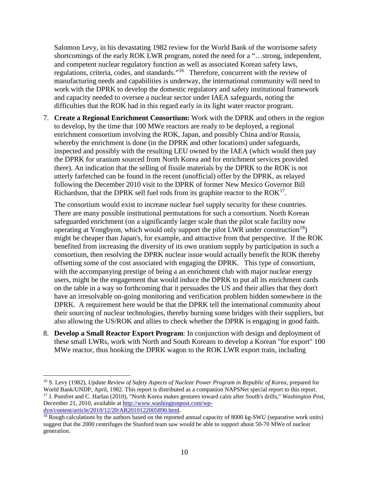Salomon Levy, in his devastating 1982 review for the World Bank of the worrisome safety shortcomings of the early ROK LWR program, noted the need for a "…strong, independent, and competent nuclear regulatory function as well as associated Korean safety laws, regulations, criteria, codes, and standards."<sup>[16](#page-9-0)</sup> Therefore, concurrent with the review of manufacturing needs and capabilities is underway, the international community will need to work with the DPRK to develop the domestic regulatory and safety institutional framework and capacity needed to oversee a nuclear sector under IAEA safeguards, noting the difficulties that the ROK had in this regard early in its light water reactor program.

7. **Create a Regional Enrichment Consortium:** Work with the DPRK and others in the region to develop, by the time that 100 MWe reactors are ready to be deployed, a regional enrichment consortium involving the ROK, Japan, and possibly China and/or Russia, whereby the enrichment is done (in the DPRK and other locations) under safeguards, inspected and possibly with the resulting LEU owned by the IAEA (which would then pay the DPRK for uranium sourced from North Korea and for enrichment services provided there). An indication that the selling of fissile materials by the DPRK to the ROK is not utterly farfetched can be found in the recent (unofficial) offer by the DPRK, as relayed following the December 2010 visit to the DPRK of former New Mexico Governor Bill Richardson, that the DPRK sell fuel rods from its graphite reactor to the  $ROK<sup>17</sup>$ .

The consortium would exist to increase nuclear fuel supply security for these countries. There are many possible institutional permutations for such a consortium. North Korean safeguarded enrichment (on a significantly larger scale than the pilot scale facility now operating at Yongbyon, which would only support the pilot LWR under construction<sup>18</sup>) might be cheaper than Japan's, for example, and attractive from that perspective. If the ROK benefited from increasing the diversity of its own uranium supply by participation in such a consortium, then resolving the DPRK nuclear issue would actually benefit the ROK thereby offsetting some of the cost associated with engaging the DPRK. This type of consortium, with the accompanying prestige of being a an enrichment club with major nuclear energy users, might be the engagement that would induce the DPRK to put all its enrichment cards on the table in a way so forthcoming that it persuades the US and their allies that they don't have an irresolvable on-going monitoring and verification problem hidden somewhere in the DPRK. A requirement here would be that the DPRK tell the international community about their sourcing of nuclear technologies, thereby burning some bridges with their suppliers, but also allowing the US/ROK and allies to check whether the DPRK is engaging in good faith.

8. **Develop a Small Reactor Export Program**: In conjunction with design and deployment of these small LWRs, work with North and South Koreans to develop a Korean "for export" 100 MWe reactor, thus hooking the DPRK wagon to the ROK LWR export train, including

 $\overline{a}$ 

<span id="page-9-2"></span> $^{18}$  Rough calculations by the authors based on the reported annual capacity of 8000 kg-SWU (separative work units) suggest that the 2000 centrifuges the Stanford team saw would be able to support about 50-70 MWe of nuclear generation.

<span id="page-9-1"></span><span id="page-9-0"></span><sup>16</sup> S. Levy (1982), *Update Review of Safety Aspects of Nuclear Power Program in Republic of Korea,* prepared for World Bank/UNDP, April, 1982. This report is distributed as a companion NAPSNet special report to this report. <sup>17</sup> J. Pomfret and C. Harlan (2010), "North Korea makes gestures toward calm after South's drills," *Washington Post*, December 21, 2010, available at http://www.washingtonpost.com/wp-<br>dyn/content/article/2010/12/20/AR2010122005890.html.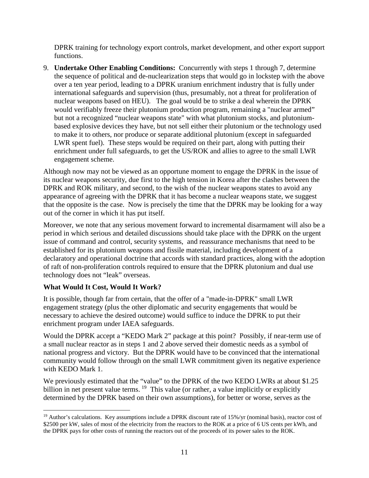DPRK training for technology export controls, market development, and other export support functions.

9. **Undertake Other Enabling Conditions:** Concurrently with steps 1 through 7, determine the sequence of political and de-nuclearization steps that would go in lockstep with the above over a ten year period, leading to a DPRK uranium enrichment industry that is fully under international safeguards and supervision (thus, presumably, not a threat for proliferation of nuclear weapons based on HEU). The goal would be to strike a deal wherein the DPRK would verifiably freeze their plutonium production program, remaining a "nuclear armed" but not a recognized "nuclear weapons state" with what plutonium stocks, and plutoniumbased explosive devices they have, but not sell either their plutonium or the technology used to make it to others, nor produce or separate additional plutonium (except in safeguarded LWR spent fuel). These steps would be required on their part, along with putting their enrichment under full safeguards, to get the US/ROK and allies to agree to the small LWR engagement scheme.

Although now may not be viewed as an opportune moment to engage the DPRK in the issue of its nuclear weapons security, due first to the high tension in Korea after the clashes between the DPRK and ROK military, and second, to the wish of the nuclear weapons states to avoid any appearance of agreeing with the DPRK that it has become a nuclear weapons state, we suggest that the opposite is the case. Now is precisely the time that the DPRK may be looking for a way out of the corner in which it has put itself.

Moreover, we note that any serious movement forward to incremental disarmament will also be a period in which serious and detailed discussions should take place with the DPRK on the urgent issue of command and control, security systems, and reassurance mechanisms that need to be established for its plutonium weapons and fissile material, including development of a declaratory and operational doctrine that accords with standard practices, along with the adoption of raft of non-proliferation controls required to ensure that the DPRK plutonium and dual use technology does not "leak" overseas.

# **What Would It Cost, Would It Work?**

It is possible, though far from certain, that the offer of a "made-in-DPRK" small LWR engagement strategy (plus the other diplomatic and security engagements that would be necessary to achieve the desired outcome) would suffice to induce the DPRK to put their enrichment program under IAEA safeguards.

Would the DPRK accept a "KEDO Mark 2" package at this point? Possibly, if near-term use of a small nuclear reactor as in steps 1 and 2 above served their domestic needs as a symbol of national progress and victory. But the DPRK would have to be convinced that the international community would follow through on the small LWR commitment given its negative experience with KEDO Mark 1.

We previously estimated that the "value" to the DPRK of the two KEDO LWRs at about \$1.25 billion in net present value terms. <sup>[19](#page-10-0)</sup> This value (or rather, a value implicitly or explicitly determined by the DPRK based on their own assumptions), for better or worse, serves as the

<span id="page-10-0"></span> $19$  Author's calculations. Key assumptions include a DPRK discount rate of 15%/yr (nominal basis), reactor cost of \$2500 per kW, sales of most of the electricity from the reactors to the ROK at a price of 6 US cents per kWh, and the DPRK pays for other costs of running the reactors out of the proceeds of its power sales to the ROK.  $\overline{a}$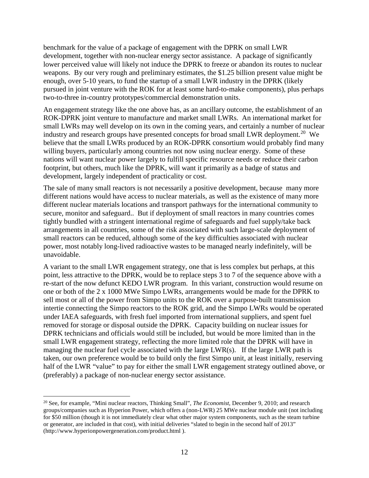benchmark for the value of a package of engagement with the DPRK on small LWR development, together with non-nuclear energy sector assistance. A package of significantly lower perceived value will likely not induce the DPRK to freeze or abandon its routes to nuclear weapons. By our very rough and preliminary estimates, the \$1.25 billion present value might be enough, over 5-10 years, to fund the startup of a small LWR industry in the DPRK (likely pursued in joint venture with the ROK for at least some hard-to-make components), plus perhaps two-to-three in-country prototypes/commercial demonstration units.

An engagement strategy like the one above has, as an ancillary outcome, the establishment of an ROK-DPRK joint venture to manufacture and market small LWRs. An international market for small LWRs may well develop on its own in the coming years, and certainly a number of nuclear industry and research groups have presented concepts for broad small LWR deployment.<sup>[20](#page-11-0)</sup> We believe that the small LWRs produced by an ROK-DPRK consortium would probably find many willing buyers, particularly among countries not now using nuclear energy. Some of these nations will want nuclear power largely to fulfill specific resource needs or reduce their carbon footprint, but others, much like the DPRK, will want it primarily as a badge of status and development, largely independent of practicality or cost.

The sale of many small reactors is not necessarily a positive development, because many more different nations would have access to nuclear materials, as well as the existence of many more different nuclear materials locations and transport pathways for the international community to secure, monitor and safeguard.. But if deployment of small reactors in many countries comes tightly bundled with a stringent international regime of safeguards and fuel supply/take back arrangements in all countries, some of the risk associated with such large-scale deployment of small reactors can be reduced, although some of the key difficulties associated with nuclear power, most notably long-lived radioactive wastes to be managed nearly indefinitely, will be unavoidable.

A variant to the small LWR engagement strategy, one that is less complex but perhaps, at this point, less attractive to the DPRK, would be to replace steps 3 to 7 of the sequence above with a re-start of the now defunct KEDO LWR program. In this variant, construction would resume on one or both of the 2 x 1000 MWe Simpo LWRs, arrangements would be made for the DPRK to sell most or all of the power from Simpo units to the ROK over a purpose-built transmission intertie connecting the Simpo reactors to the ROK grid, and the Simpo LWRs would be operated under IAEA safeguards, with fresh fuel imported from international suppliers, and spent fuel removed for storage or disposal outside the DPRK. Capacity building on nuclear issues for DPRK technicians and officials would still be included, but would be more limited than in the small LWR engagement strategy, reflecting the more limited role that the DPRK will have in managing the nuclear fuel cycle associated with the large LWR(s). If the large LWR path is taken, our own preference would be to build only the first Simpo unit, at least initially, reserving half of the LWR "value" to pay for either the small LWR engagement strategy outlined above, or (preferably) a package of non-nuclear energy sector assistance.

<span id="page-11-0"></span><sup>20</sup> See, for example, "Mini nuclear reactors, Thinking Small", *The Economist*, December 9, 2010; and research groups/companies such as Hyperion Power, which offers a (non-LWR) 25 MWe nuclear module unit (not including for \$50 million (though it is not immediately clear what other major system components, such as the steam turbine or generator, are included in that cost), with initial deliveries "slated to begin in the second half of 2013" (http://www.hyperionpowergeneration.com/product.html ).  $\overline{a}$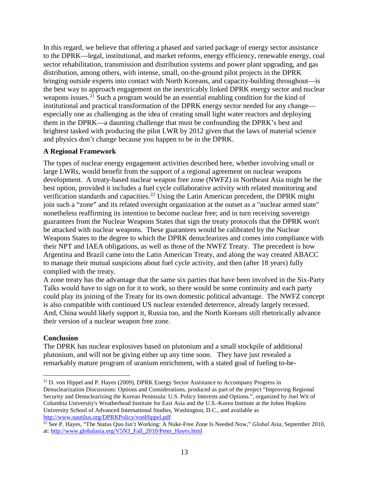In this regard, we believe that offering a phased and varied package of energy sector assistance to the DPRK—legal, institutional, and market reforms, energy efficiency, renewable energy, coal sector rehabilitation, transmission and distribution systems and power plant upgrading, and gas distribution, among others, with intense, small, on-the-ground pilot projects in the DPRK bringing outside experts into contact with North Koreans, and capacity-building throughout—is the best way to approach engagement on the inextricably linked DPRK energy sector and nuclear weapons issues.<sup>[21](#page-12-0)</sup> Such a program would be an essential enabling condition for the kind of institutional and practical transformation of the DPRK energy sector needed for any change especially one as challenging as the idea of creating small light water reactors and deploying them in the DPRK—a daunting challenge that must be confounding the DPRK's best and brightest tasked with producing the pilot LWR by 2012 given that the laws of material science and physics don't change because you happen to be in the DPRK.

## **A Regional Framework**

The types of nuclear energy engagement activities described here, whether involving small or large LWRs, would benefit from the support of a regional agreement on nuclear weapons development. A treaty-based nuclear weapon free zone (NWFZ) in Northeast Asia might be the best option, provided it includes a fuel cycle collaborative activity with related monitoring and verification standards and capacities.<sup>[22](#page-12-1)</sup> Using the Latin American precedent, the DPRK might join such a "zone" and its related oversight organization at the outset as a "nuclear armed state" nonetheless reaffirming its intention to become nuclear free; and in turn receiving sovereign guarantees from the Nuclear Weapons States that sign the treaty protocols that the DPRK won't be attacked with nuclear weapons. These guarantees would be calibrated by the Nuclear Weapons States to the degree to which the DPRK denuclearizes and comes into compliance with their NPT and IAEA obligations, as well as those of the NWFZ Treaty. The precedent is how Argentina and Brazil came into the Latin American Treaty, and along the way created ABACC to manage their mutual suspicions about fuel cycle activity, and then (after 18 years) fully complied with the treaty.

A zone treaty has the advantage that the same six parties that have been involved in the Six-Party Talks would have to sign on for it to work, so there would be some continuity and each party could play its joining of the Treaty for its own domestic political advantage. The NWFZ concept is also compatible with continued US nuclear extended deterrence, already largely recessed. And, China would likely support it, Russia too, and the North Koreans still rhetorically advance their version of a nuclear weapon free zone.

# **Conclusion**

 $\overline{a}$ 

The DPRK has nuclear explosives based on plutonium and a small stockpile of additional plutonium, and will not be giving either up any time soon. They have just revealed a remarkably mature program of uranium enrichment, with a stated goal of fueling to-be-

<span id="page-12-0"></span> $^{21}$  D. von Hippel and P. Hayes (2009), DPRK Energy Sector Assistance to Accompany Progress in Denuclearization Discussions: Options and Considerations, produced as part of the project "Improving Regional Security and Denuclearizing the Korean Peninsula: U.S. Policy Interests and Options.", organized by Joel Wit of Columbia University's Weatherhead Institute for East Asia and the U.S.-Korea Institute at the Johns Hopkins University School of Advanced International Studies, Washington, D.C., and available as <http://www.nautilus.org/DPRKPolicy/vonHippel.pdf>

<span id="page-12-1"></span><sup>&</sup>lt;sup>22</sup> See P. Hayes, "The Status Quo Isn't Working: A Nuke-Free Zone Is Needed Now," *Global Asia*, September 2010, at: [http://www.globalasia.org/V5N3\\_Fall\\_2010/Peter\\_Hayes.html](http://www.globalasia.org/V5N3_Fall_2010/Peter_Hayes.html)